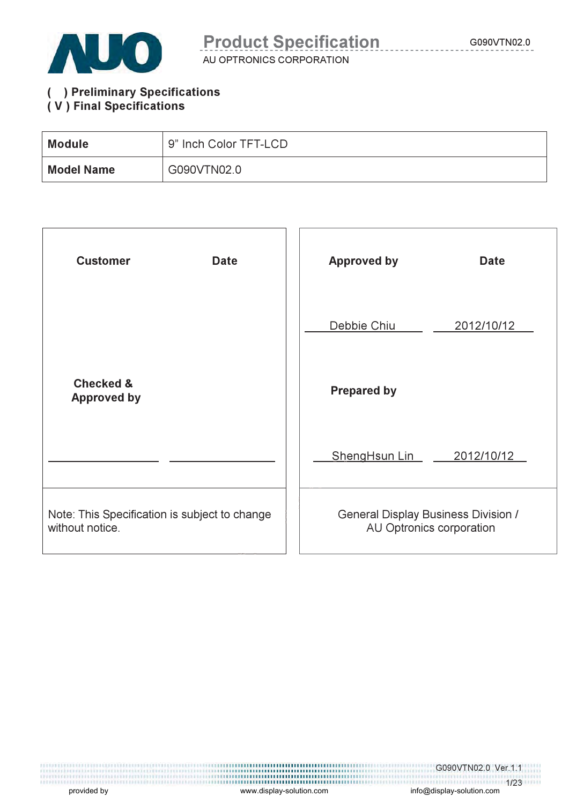

AU OPTRONICS CORPORATION

#### ( ) Preliminary Specifications ( V ) Final Specifications

| <b>Module</b>     | 9" Inch Color TFT-LCD |
|-------------------|-----------------------|
| <b>Model Name</b> | G090VTN02.0           |

| <b>Customer</b><br><b>Date</b>                                   | <b>Approved by</b><br><b>Date</b>                                      |
|------------------------------------------------------------------|------------------------------------------------------------------------|
|                                                                  | Debbie Chiu<br>2012/10/12                                              |
| <b>Checked &amp;</b><br><b>Approved by</b>                       | <b>Prepared by</b>                                                     |
|                                                                  | ShengHsun Lin<br>2012/10/12                                            |
| Note: This Specification is subject to change<br>without notice. | <b>General Display Business Division /</b><br>AU Optronics corporation |

and the matrix of the matrix of the matrix of the matrix of the matrix of the matrix of the matrix of the matrix of the matrix of the matrix of the movided by www.display-solution.com info@display-solution.com in the movid

G090VTN02.0 Ver.1.1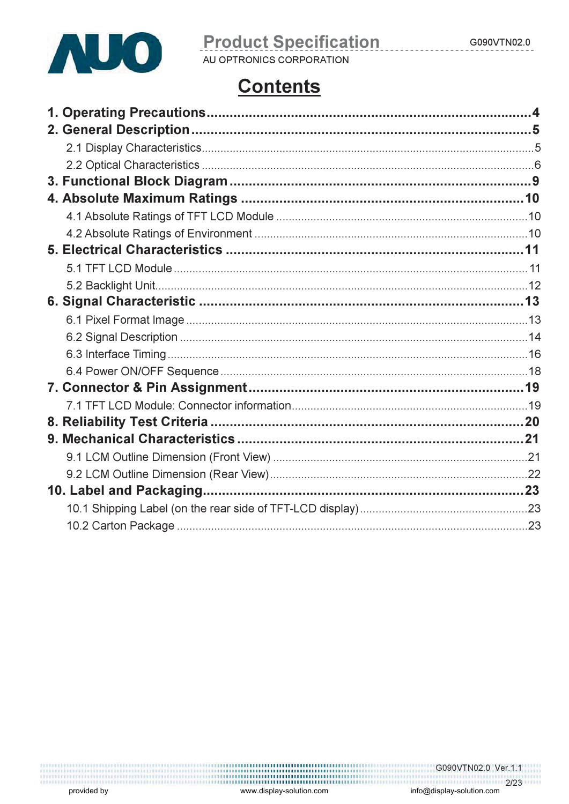

# **Product Specification**

AU OPTRONICS CORPORATION

# **Contents**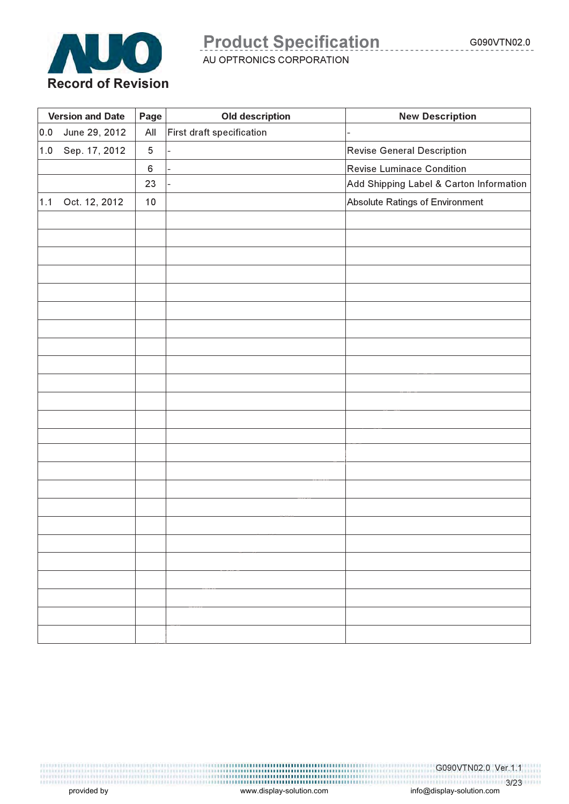

AU OPTRONICS CORPORATION

|     | <b>Version and Date</b> | Page<br><b>Old description</b> |                           | <b>New Description</b>                  |
|-----|-------------------------|--------------------------------|---------------------------|-----------------------------------------|
| 0.0 | June 29, 2012           | $\mathsf{All}$                 | First draft specification |                                         |
| 1.0 | Sep. 17, 2012           | $\mathbf 5$                    |                           | <b>Revise General Description</b>       |
|     |                         | 6                              |                           | Revise Luminace Condition               |
|     |                         | 23                             |                           | Add Shipping Label & Carton Information |
| 1.1 | Oct. 12, 2012           | 10                             |                           | Absolute Ratings of Environment         |
|     |                         |                                |                           |                                         |
|     |                         |                                |                           |                                         |
|     |                         |                                |                           |                                         |
|     |                         |                                |                           |                                         |
|     |                         |                                |                           |                                         |
|     |                         |                                |                           |                                         |
|     |                         |                                |                           |                                         |
|     |                         |                                |                           |                                         |
|     |                         |                                |                           |                                         |
|     |                         |                                |                           |                                         |
|     |                         |                                |                           |                                         |
|     |                         |                                |                           |                                         |
|     |                         |                                |                           |                                         |
|     |                         |                                |                           |                                         |
|     |                         |                                |                           |                                         |
|     |                         |                                |                           |                                         |
|     |                         |                                |                           |                                         |
|     |                         |                                |                           |                                         |
|     |                         |                                |                           |                                         |
|     |                         |                                |                           |                                         |
|     |                         |                                |                           |                                         |
|     |                         |                                |                           |                                         |
|     |                         |                                |                           |                                         |
|     |                         |                                |                           |                                         |

G090VTN02.0 Ver.1.1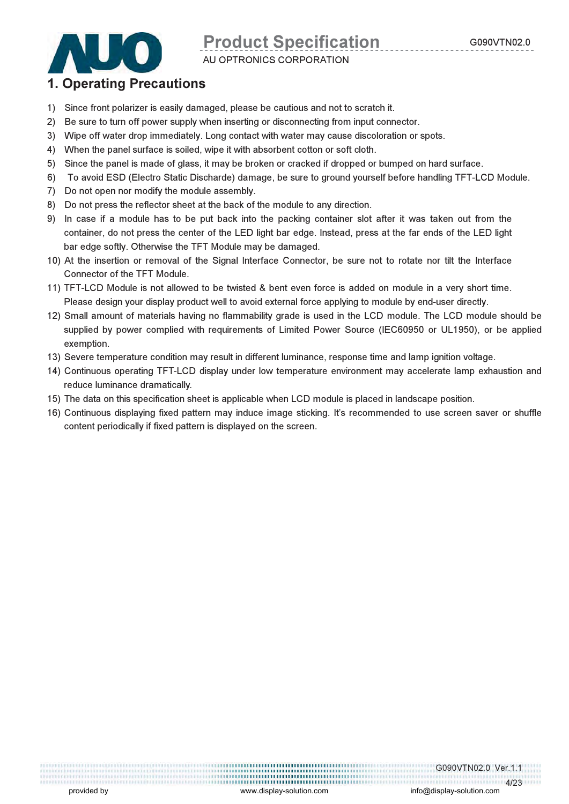

AU OPTRONICS CORPORATION

### 1. Operating Precautions

- 1) Since front polarizer is easily damaged, please be cautious and not to scratch it.
- 2) Be sure to turn off power supply when inserting or disconnecting from input connector.
- 3) Wipe off water drop immediately. Long contact with water may cause discoloration or spots.
- 4) When the panel surface is soiled, wipe it with absorbent cotton or soft cloth.
- 5) Since the panel is made of glass, it may be broken or cracked if dropped or bumped on hard surface.
- 6) To avoid ESD (Electro Static Discharde) damage, be sure to ground yourself before handling TFT-LCD Module.
- 7) Do not open nor modify the module assembly.
- 8) Do not press the reflector sheet at the back of the module to any direction.
- 9) In case if a module has to be put back into the packing container slot after it was taken out from the container, do not press the center of the LED light bar edge. Instead, press at the far ends of the LED light bar edge softly. Otherwise the TFT Module may be damaged.
- 10) At the insertion or removal of the Signal Interface Connector, be sure not to rotate nor tilt the Interface Connector of the TFT Module.
- 11) TFT-LCD Module is not allowed to be twisted & bent even force is added on module in a very short time. Please design your display product well to avoid external force applying to module by end-user directly.
- 12) Small amount of materials having no flammability grade is used in the LCD module. The LCD module should be supplied by power complied with requirements of Limited Power Source (IEC60950 or UL1950), or be applied exemption.
- 13) Severe temperature condition may result in different luminance, response time and lamp ignition voltage.
- 14) Continuous operating TFT-LCD display under low temperature environment may accelerate lamp exhaustion and reduce luminance dramatically.
- 15) The data on this specification sheet is applicable when LCD module is placed in landscape position.
- 16) Continuous displaying fixed pattern may induce image sticking. It's recommended to use screen saver or shuffle content periodically if fixed pattern is displayed on the screen.

G090VTN02.0 Ver.1.1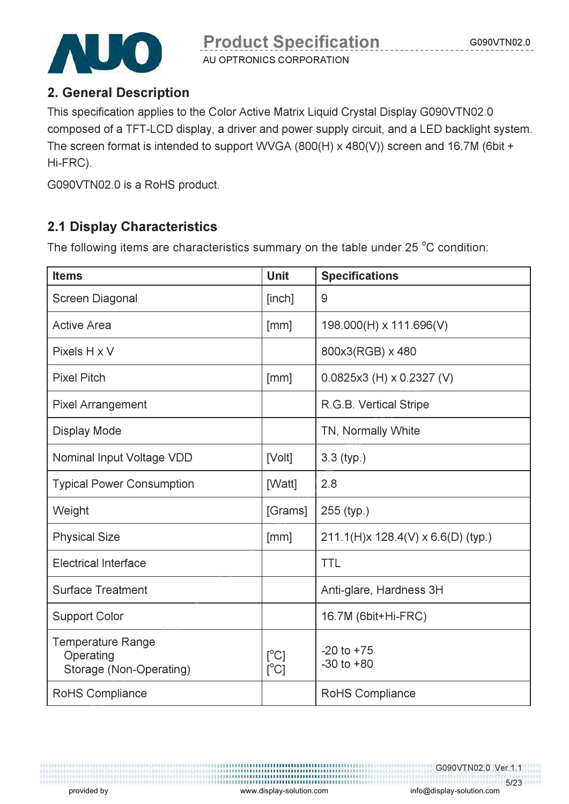

AU OPTRONICS CORPORATION

## 2. General Description

This specification applies to the Color Active Matrix Liquid Crystal Display G090VTN02.0 composed of a TFT-LCD display, a driver and power supply circuit, and a LED backlight system. The screen format is intended to support WVGA (800(H) x 480(V)) screen and 16.7M (6bit + Hi-FRC).

G090VTN02.0 is a RoHS product.

## 2.1 Display Characteristics

The following items are characteristics summary on the table under 25  $^{\circ}$ C condition:

| <b>Items</b>                                                     | <b>Unit</b>                              | <b>Specifications</b>              |
|------------------------------------------------------------------|------------------------------------------|------------------------------------|
| Screen Diagonal                                                  | [inch]                                   | 9                                  |
| <b>Active Area</b>                                               | [mm]                                     | 198.000(H) x 111.696(V)            |
| Pixels H x V                                                     |                                          | 800x3(RGB) x 480                   |
| <b>Pixel Pitch</b>                                               | [mm]                                     | $0.0825x3$ (H) x 0.2327 (V)        |
| <b>Pixel Arrangement</b>                                         |                                          | R.G.B. Vertical Stripe             |
| <b>Display Mode</b>                                              |                                          | TN, Normally White                 |
| Nominal Input Voltage VDD                                        | [Volt]                                   | $3.3$ (typ.)                       |
| <b>Typical Power Consumption</b>                                 | [Watt]                                   | 2.8                                |
| Weight                                                           | [Grams]                                  | 255 (typ.)                         |
| <b>Physical Size</b>                                             | [mm]                                     | 211.1(H)x 128.4(V) x 6.6(D) (typ.) |
| <b>Electrical Interface</b>                                      |                                          | <b>TTL</b>                         |
| <b>Surface Treatment</b>                                         |                                          | Anti-glare, Hardness 3H            |
| <b>Support Color</b>                                             |                                          | 16.7M (6bit+Hi-FRC)                |
| <b>Temperature Range</b><br>Operating<br>Storage (Non-Operating) | $[^{\circ}C]$<br>$\lceil^{\circ}C\rceil$ | $-20$ to $+75$<br>$-30$ to $+80$   |
| RoHS Compliance                                                  |                                          | RoHS Compliance                    |

G090VTN02.0 Ver.1.1 5/23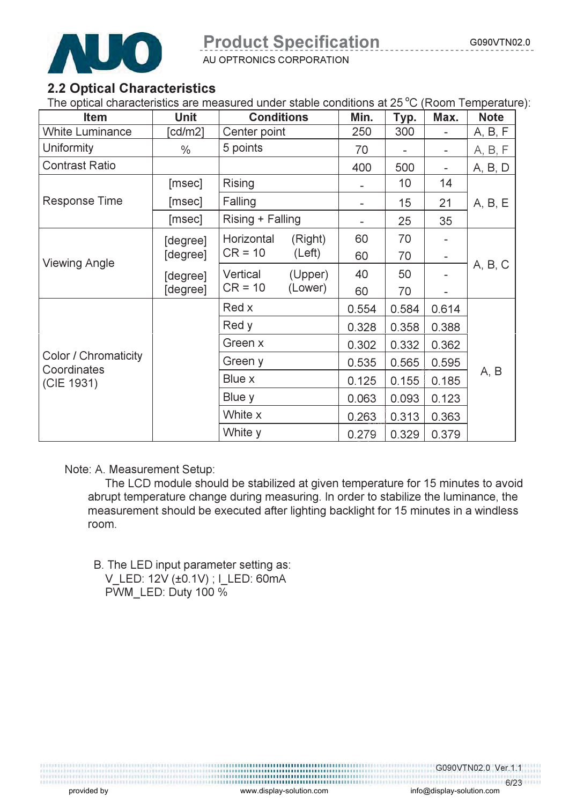

AU OPTRONICS CORPORATION

## 2.2 Optical Characteristics

The optical characteristics are measured under stable conditions at  $25^{\circ}$ C (Room Temperature):

| <b>Item</b>               | <b>Unit</b>   |                  | <b>Conditions</b> |                          | Typ.            | Max.                     | <b>Note</b> |
|---------------------------|---------------|------------------|-------------------|--------------------------|-----------------|--------------------------|-------------|
| <b>White Luminance</b>    | [ $cd/m2$ ]   |                  | Center point      |                          | 300             |                          | A, B, F     |
| Uniformity                | $\frac{0}{0}$ | 5 points         |                   | 70                       |                 | $\overline{\phantom{0}}$ | A, B, F     |
| <b>Contrast Ratio</b>     |               |                  |                   | 400                      | 500             |                          | A, B, D     |
|                           | [msec]        | Rising           |                   |                          | 10 <sup>°</sup> | 14                       |             |
| <b>Response Time</b>      | [msec]        | Falling          |                   | $\overline{\phantom{a}}$ | 15              | 21                       | A, B, E     |
|                           | [msec]        | Rising + Falling |                   |                          | 25              | 35                       |             |
|                           | [degree]      | Horizontal       | (Right)           | 60                       | 70              |                          |             |
| <b>Viewing Angle</b>      | [degree]      | $CR = 10$        | (Left)            | 60                       | 70              | $\qquad \qquad -$        |             |
|                           | [degree]      | Vertical         | (Upper)           | 40                       | 50              |                          | A, B, C     |
|                           | [degree]      | $CR = 10$        | (Lower)           | 60                       | 70              |                          |             |
|                           |               | Red x            |                   | 0.554                    | 0.584           | 0.614                    |             |
|                           |               | Red y            |                   | 0.328                    | 0.358           | 0.388                    |             |
|                           |               | Green x          |                   | 0.302                    | 0.332           | 0.362                    |             |
| Color / Chromaticity      |               | Green y          |                   | 0.535                    | 0.565           | 0.595                    |             |
| Coordinates<br>(CIE 1931) |               | Blue x           |                   | 0.125                    | 0.155           | 0.185                    | A, B        |
|                           |               | Blue y           |                   | 0.063                    | 0.093           | 0.123                    |             |
|                           |               | White x          |                   | 0.263                    | 0.313           | 0.363                    |             |
|                           |               | White y          |                   | 0.279                    | 0.329           | 0.379                    |             |

Note: A. Measurement Setup:

 The LCD module should be stabilized at given temperature for 15 minutes to avoid abrupt temperature change during measuring. In order to stabilize the luminance, the measurement should be executed after lighting backlight for 15 minutes in a windless room.

 B. The LED input parameter setting as: V\_LED: 12V (±0.1V) ; I\_LED: 60mA PWM\_LED: Duty 100 %

> G090VTN02.0 Ver.1.1 6/23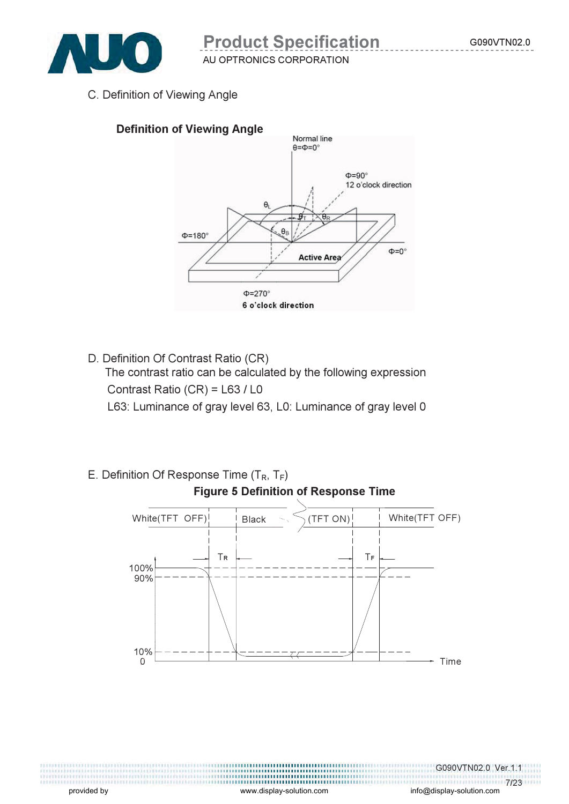C. Definition of Viewing Angle



D. Definition Of Contrast Ratio (CR)

 The contrast ratio can be calculated by the following expression Contrast Ratio (CR) = L63 / L0

L63: Luminance of gray level 63, L0: Luminance of gray level 0

E. Definition Of Response Time  $(T_R, T_F)$ 



provided by the surface of the surface of the www.display-solution.com comes info@display-solution.com

G090VTN02.0 Ver.1.1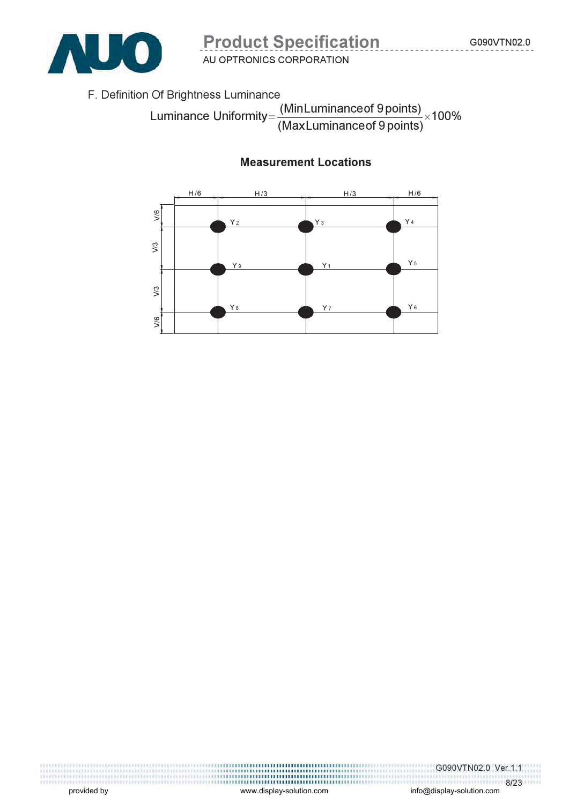

F. Definition Of Brightness Luminance

100% (Max Luminanceof 9 points) Luminance Uniformity=  $\frac{(MinLuminance of 9 points)}{x} \times$ 

#### Measurement Locations



,,,,,,,,,,,,,,,,,,,,,,,,,,,,,,,,,,,,, 

G090VTN02.0 Ver.1.1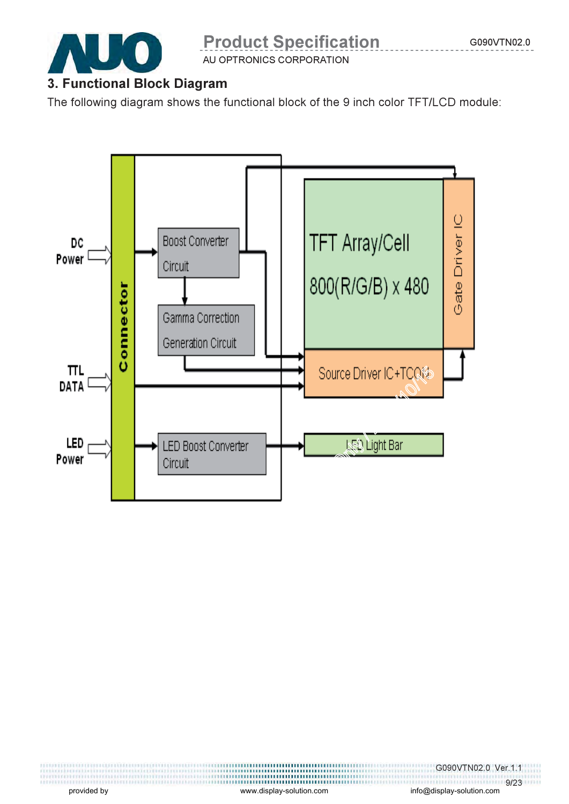

AU OPTRONICS CORPORATION

## 3. Functional Block Diagram

The following diagram shows the functional block of the 9 inch color TFT/LCD module:



G090VTN02.0 Ver.1.1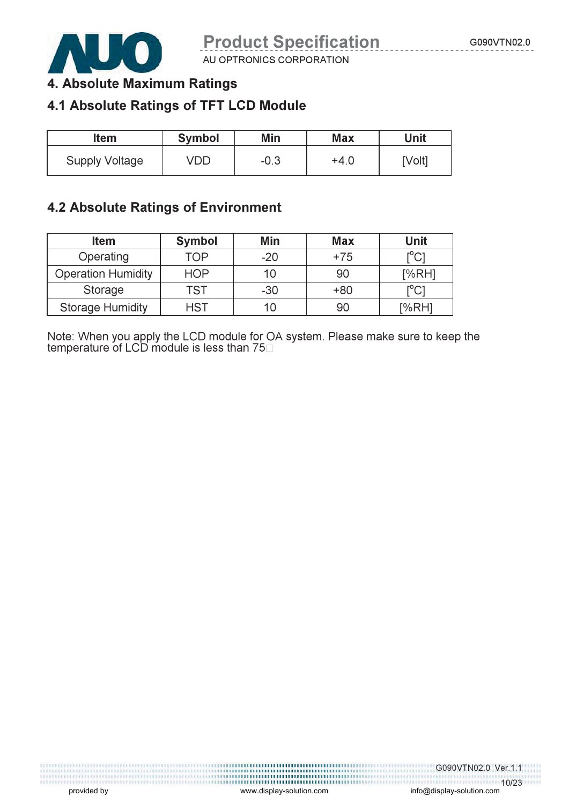

AU OPTRONICS CORPORATION

## 4. Absolute Maximum Ratings

## 4.1 Absolute Ratings of TFT LCD Module

| Item                  | <b>Symbol</b> | Min    | <b>Max</b> | Unit   |
|-----------------------|---------------|--------|------------|--------|
| <b>Supply Voltage</b> | VDD           | $-0.3$ | $+4.0$     | [Volt] |

### 4.2 Absolute Ratings of Environment

| <b>Item</b>               | <b>Symbol</b> | Min   | <b>Max</b> | Unit                       |
|---------------------------|---------------|-------|------------|----------------------------|
| Operating                 | TOP           | $-20$ | $+75$      | $\mathop{\rm l}{\rm ^oC1}$ |
| <b>Operation Humidity</b> | <b>HOP</b>    | 10    | 90         | [%RH]                      |
| Storage                   | TST           | $-30$ | $+80$      | ${^{\circ}C}$              |
| <b>Storage Humidity</b>   | <b>HST</b>    | 10    | 90         | [%RH]                      |

Note: When you apply the LCD module for OA system. Please make sure to keep the temperature of LCD module is less than 75

G090VTN02.0 Ver.1.1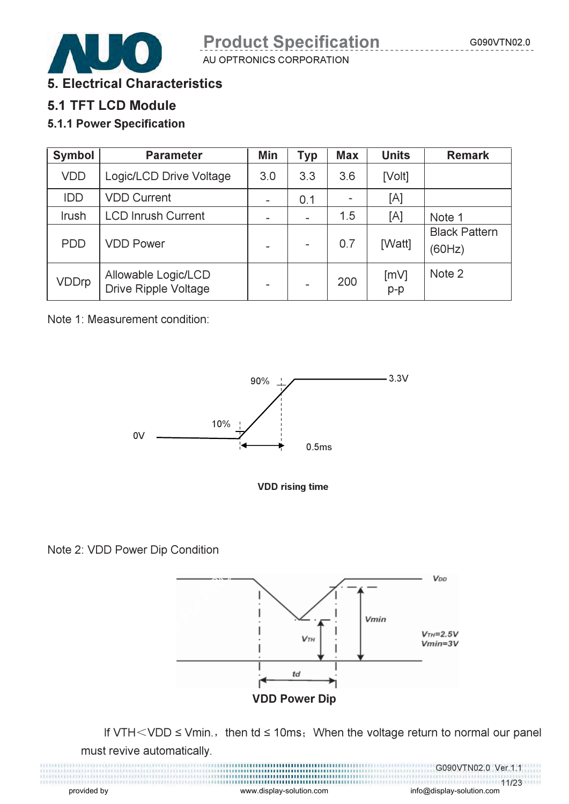

5. Electrical Characteristics

5.1 TFT LCD Module

### 5.1.1 Power Specification

| <b>Symbol</b> | <b>Parameter</b>                                   | Min | <b>Typ</b> | <b>Max</b> | <b>Units</b>  | <b>Remark</b>                  |
|---------------|----------------------------------------------------|-----|------------|------------|---------------|--------------------------------|
| <b>VDD</b>    | Logic/LCD Drive Voltage                            | 3.0 | 3.3        | 3.6        | [Volt]        |                                |
| <b>IDD</b>    | <b>VDD Current</b>                                 |     | 0.1        |            | [A]           |                                |
| Irush         | <b>LCD Inrush Current</b>                          |     |            | 1.5        | [A]           | Note 1                         |
| <b>PDD</b>    | <b>VDD Power</b>                                   |     |            | 0.7        | [Watt]        | <b>Black Pattern</b><br>(60Hz) |
| <b>VDDrp</b>  | Allowable Logic/LCD<br><b>Drive Ripple Voltage</b> |     |            | 200        | [mV]<br>$p-p$ | Note 2                         |

Note 1: Measurement condition:





Note 2: VDD Power Dip Condition



If VTH < VDD  $\leq$  Vmin., then td  $\leq$  10ms; When the voltage return to normal our panel must revive automatically.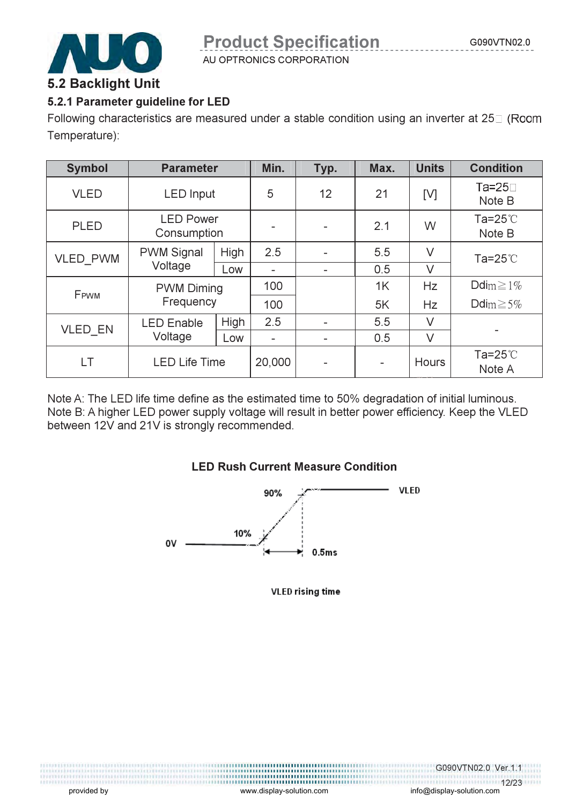

### 5.2.1 Parameter guideline for LED

Following characteristics are measured under a stable condition using an inverter at 25 $\square$  (Room Temperature):

| <b>Symbol</b>   | <b>Parameter</b>                |      | Min.            | Typ. | Max.                     | <b>Units</b> | <b>Condition</b>            |
|-----------------|---------------------------------|------|-----------------|------|--------------------------|--------------|-----------------------------|
| <b>VLED</b>     | <b>LED</b> Input                |      | 5               | 12   | 21                       | [V]          | $Ta=25$<br>Note B           |
| <b>PLED</b>     | <b>LED Power</b><br>Consumption |      |                 |      | 2.1                      | W            | Ta=25 $\degree$ C<br>Note B |
| <b>VLED PWM</b> | <b>PWM Signal</b>               |      | 2.5             |      | 5.5                      | $\vee$       | Ta=25 $\degree$ C           |
|                 | Voltage                         | Low  | $\qquad \qquad$ | -    | 0.5                      | $\vee$       |                             |
| FPWM            | <b>PWM Diming</b>               |      | 100             |      | 1K                       | Hz           | Ddim $\geq 1\%$             |
|                 | Frequency                       |      | 100             |      | 5K                       | Hz           | Ddim $\geq 5\%$             |
|                 | <b>LED Enable</b>               | High | 2.5             |      | 5.5                      | $\vee$       |                             |
| <b>VLED EN</b>  | Voltage                         | Low  | $\qquad \qquad$ |      | 0.5                      | V            |                             |
| LT              | <b>LED Life Time</b>            |      | 20,000          |      | $\overline{\phantom{a}}$ | Hours        | Ta=25 $\degree$ C<br>Note A |

Note A: The LED life time define as the estimated time to 50% degradation of initial luminous. Note B: A higher LED power supply voltage will result in better power efficiency. Keep the VLED between 12V and 21V is strongly recommended.

#### LED Rush Current Measure Condition



**VLED rising time**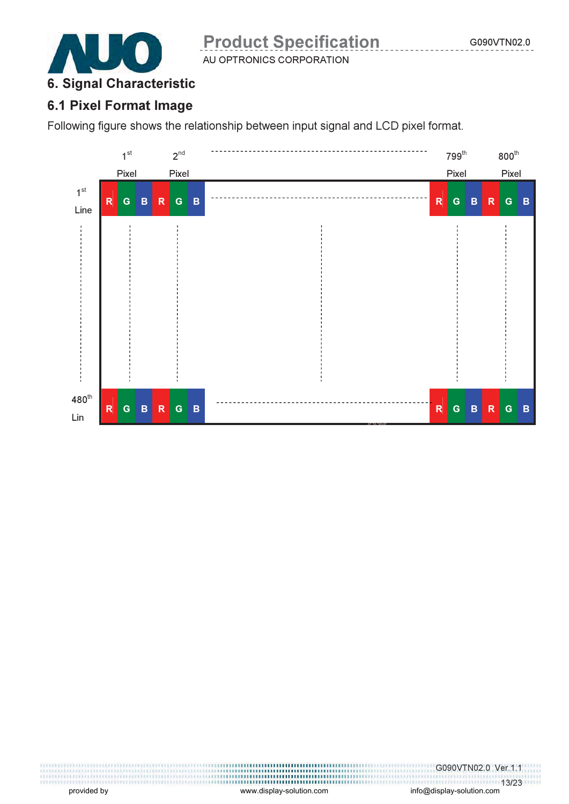

## 6. Signal Characteristic

### 6.1 Pixel Format Image

Following figure shows the relationship between input signal and LCD pixel format.

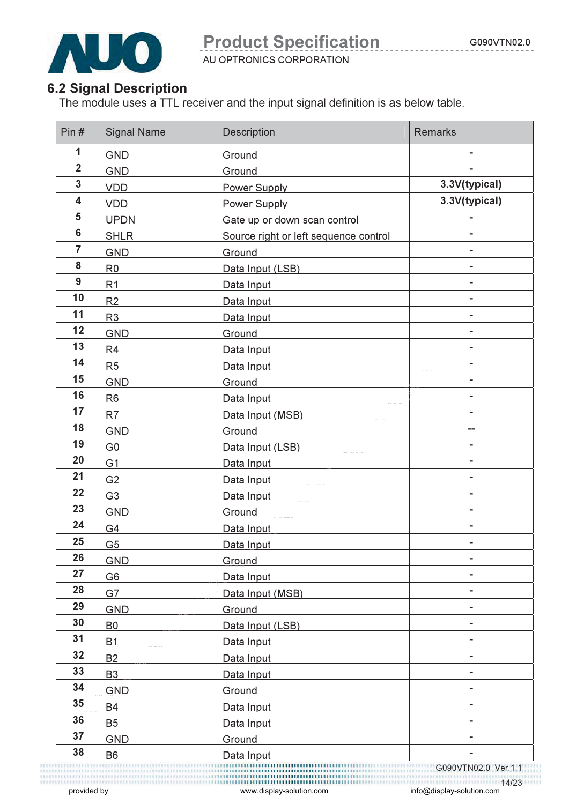

AU OPTRONICS CORPORATION

## 6.2 Signal Description

The module uses a TTL receiver and the input signal definition is as below table.

| Pin#           | <b>Signal Name</b> | Description                           | <b>Remarks</b> |
|----------------|--------------------|---------------------------------------|----------------|
| $\mathbf{1}$   | <b>GND</b>         | Ground                                |                |
| $\overline{2}$ | <b>GND</b>         | Ground                                |                |
| $\overline{3}$ | <b>VDD</b>         | Power Supply                          | 3.3V(typical)  |
| 4              | <b>VDD</b>         | Power Supply                          | 3.3V(typical)  |
| 5              | <b>UPDN</b>        | Gate up or down scan control          |                |
| $6\phantom{a}$ | <b>SHLR</b>        | Source right or left sequence control |                |
| $\overline{7}$ | <b>GND</b>         | Ground                                |                |
| 8              | R <sub>0</sub>     | Data Input (LSB)                      |                |
| 9              | R <sub>1</sub>     | Data Input                            |                |
| 10             | R <sub>2</sub>     | Data Input                            | -              |
| 11             | R <sub>3</sub>     | Data Input                            | ۰              |
| 12             | <b>GND</b>         | Ground                                |                |
| 13             | R <sub>4</sub>     | Data Input                            |                |
| 14             | R <sub>5</sub>     | Data Input                            |                |
| 15             | <b>GND</b>         | Ground                                |                |
| 16             | R <sub>6</sub>     | Data Input                            | -              |
| 17             | R <sub>7</sub>     | Data Input (MSB)                      | Ξ.             |
| 18             | <b>GND</b>         | Ground                                |                |
| 19             | G <sub>0</sub>     | Data Input (LSB)                      |                |
| 20             | G <sub>1</sub>     | Data Input                            |                |
| 21             | G <sub>2</sub>     | Data Input                            |                |
| 22             | G <sub>3</sub>     | Data Input                            | -              |
| 23             | <b>GND</b>         | Ground                                | ۰              |
| 24             | G4                 | Data Input                            | ۰              |
| 25             | G <sub>5</sub>     | Data Input                            |                |
| 26             | <b>GND</b>         | Ground                                |                |
| 27             | G <sub>6</sub>     | Data Input                            |                |
| 28             | G7                 | Data Input (MSB)                      | -              |
| 29             | <b>GND</b>         | Ground                                | ä,             |
| 30             | B <sub>0</sub>     | Data Input (LSB)                      | ۰              |
| 31             | <b>B1</b>          | Data Input                            |                |
| 32             | <b>B2</b>          | Data Input                            |                |
| 33             | B <sub>3</sub>     | Data Input                            |                |
| 34             | <b>GND</b>         | Ground                                | -              |
| 35             | <b>B4</b>          | Data Input                            | -              |
| 36             | <b>B5</b>          | Data Input                            | ۰              |
| 37             | <b>GND</b>         | Ground                                |                |
| 38             | <b>B6</b>          | Data Input                            |                |
|                |                    |                                       |                |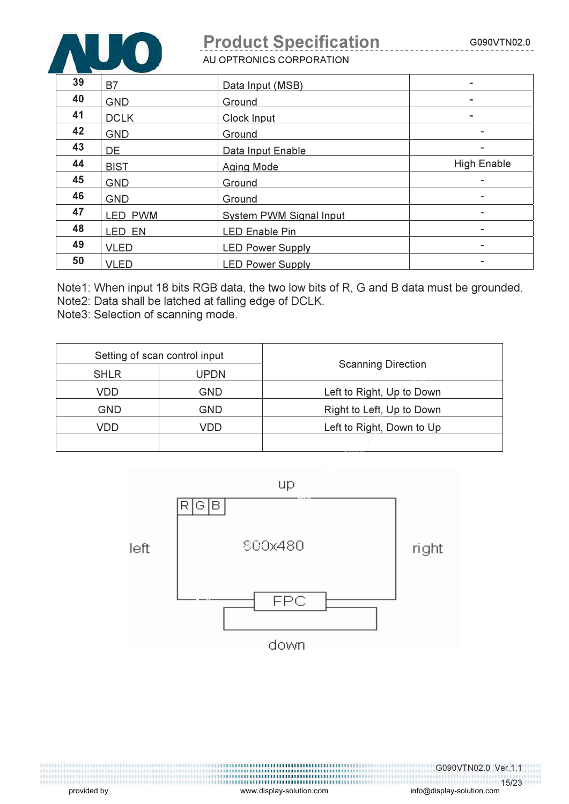

AU OPTRONICS CORPORATION

| 39 | B7          | Data Input (MSB)               | $\overline{\phantom{a}}$ |
|----|-------------|--------------------------------|--------------------------|
| 40 | <b>GND</b>  | Ground                         |                          |
| 41 | <b>DCLK</b> | Clock Input                    |                          |
| 42 | <b>GND</b>  | Ground                         | ۰                        |
| 43 | DE          | Data Input Enable              | ۰                        |
| 44 | <b>BIST</b> | <b>Aging Mode</b>              | <b>High Enable</b>       |
| 45 | <b>GND</b>  | Ground                         | $\blacksquare$           |
| 46 | <b>GND</b>  | Ground                         | ۰                        |
| 47 | LED PWM     | <b>System PWM Signal Input</b> |                          |
| 48 | LED EN      | <b>LED Enable Pin</b>          |                          |
| 49 | <b>VLED</b> | <b>LED Power Supply</b>        | ۰                        |
| 50 | <b>VLED</b> | <b>LED Power Supply</b>        | ۰                        |

Note1: When input 18 bits RGB data, the two low bits of R, G and B data must be grounded. Note2: Data shall be latched at falling edge of DCLK.

Note3: Selection of scanning mode.

| Setting of scan control input |      |                           |  |
|-------------------------------|------|---------------------------|--|
| <b>SHLR</b>                   | UPDN | <b>Scanning Direction</b> |  |
| VDD                           | GND  | Left to Right, Up to Down |  |
| GND                           | GND  | Right to Left, Up to Down |  |
| VDD.                          | VDD  | Left to Right, Down to Up |  |
|                               |      |                           |  |



provided by www.display-solution.com

,,,,,,,,,,,,,,,,,,,,,,,,,,,,,,,,,,,,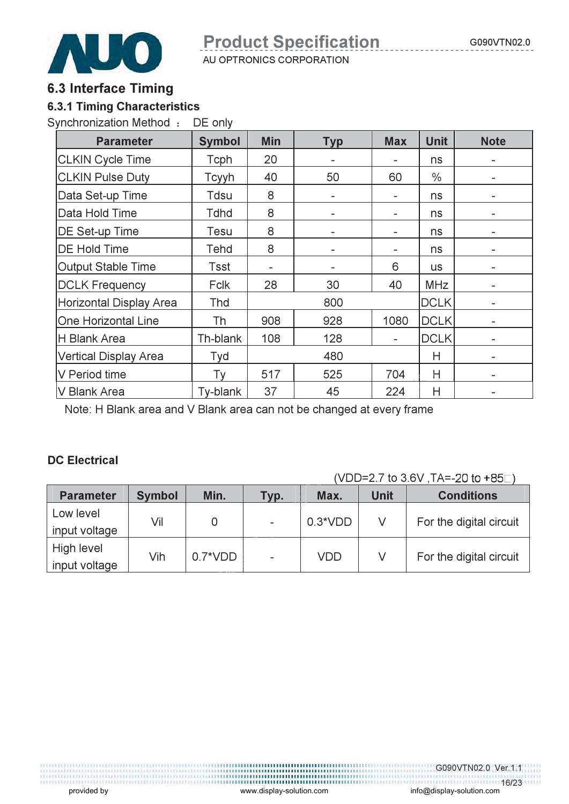

#### 6.3 Interface Timing

#### 6.3.1 Timing Characteristics

Synchronization Method : DE only

| <b>Parameter</b>             | <b>Symbol</b> | <b>Min</b> | <b>Typ</b>     | <b>Max</b>               | <b>Unit</b>   | <b>Note</b>              |
|------------------------------|---------------|------------|----------------|--------------------------|---------------|--------------------------|
| <b>CLKIN Cycle Time</b>      | Tcph          | 20         |                |                          | ns            |                          |
| <b>CLKIN Pulse Duty</b>      | Tcyyh         | 40         | 50             | 60                       | $\frac{0}{0}$ |                          |
| Data Set-up Time             | Tdsu          | 8          |                |                          | ns            |                          |
| Data Hold Time               | <b>Tdhd</b>   | 8          |                |                          | ns            | -                        |
| DE Set-up Time               | Tesu          | 8          |                |                          | ns            |                          |
| <b>DE Hold Time</b>          | Tehd          | 8          | $\overline{a}$ |                          | ns            | $\qquad \qquad$          |
| <b>Output Stable Time</b>    | Tsst          |            |                | 6                        | <b>us</b>     |                          |
| <b>DCLK Frequency</b>        | <b>Fclk</b>   | 28         | 30             | 40                       | <b>MHz</b>    | $\overline{\phantom{a}}$ |
| Horizontal Display Area      | Thd           |            | 800            |                          | <b>DCLK</b>   |                          |
| One Horizontal Line          | Th            | 908        | 928            | 1080                     | <b>DCLK</b>   | $\overline{\phantom{a}}$ |
| H Blank Area                 | Th-blank      | 108        | 128            | $\overline{\phantom{a}}$ | <b>DCLK</b>   | $\overline{\phantom{a}}$ |
| <b>Vertical Display Area</b> | Tyd           |            | 480            |                          | Н             | $\overline{\phantom{a}}$ |
| V Period time                | Тy            | 517        | 525            | 704                      | Н             |                          |
| V Blank Area                 | Ty-blank      | 37         | 45             | 224                      | Η             |                          |

Note: H Blank area and V Blank area can not be changed at every frame

#### DC Electrical

(VDD=2.7 to 3.6V ,TA=- (

| <b>Parameter</b> | <b>Symbol</b> | Min.       | Typ. | Max.      | <b>Unit</b> | <b>Conditions</b>       |
|------------------|---------------|------------|------|-----------|-------------|-------------------------|
| Low level        | Vil           | 0          |      | $0.3*VDD$ | V           | For the digital circuit |
| input voltage    |               |            |      |           |             |                         |
| High level       | Vih           | $0.7^*VDD$ |      | VDD       |             | For the digital circuit |
| input voltage    |               |            |      |           |             |                         |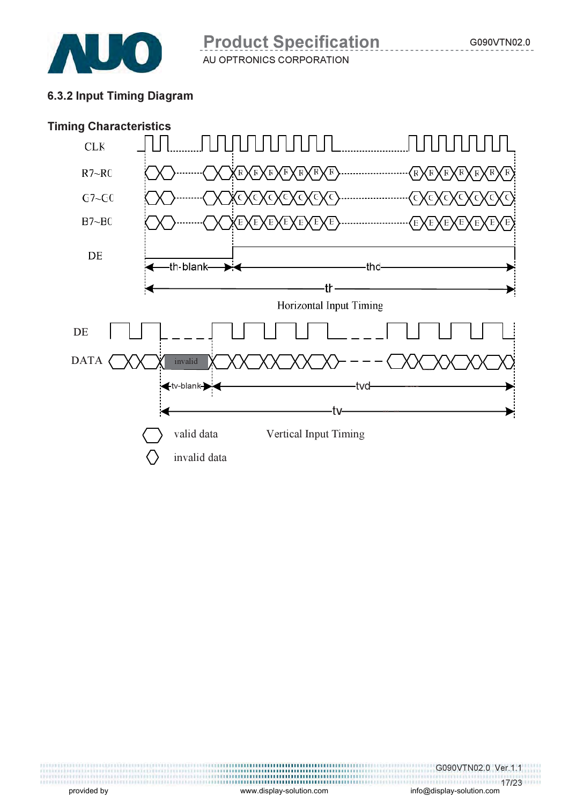

### 6.3.2 Input Timing Diagram



info@display-solution.com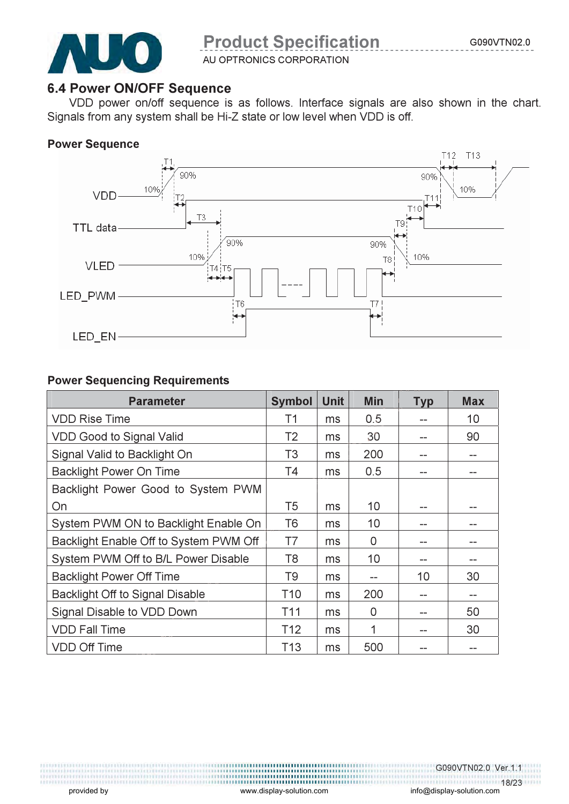

AU OPTRONICS CORPORATION

#### 6.4 Power ON/OFF Sequence

VDD power on/off sequence is as follows. Interface signals are also shown in the chart. Signals from any system shall be Hi-Z state or low level when VDD is off.

#### Power Sequence



#### Power Sequencing Requirements

| <b>Parameter</b>                       | <b>Symbol</b>   | <b>Unit</b> | <b>Min</b> | <b>Typ</b> | <b>Max</b> |
|----------------------------------------|-----------------|-------------|------------|------------|------------|
| <b>VDD Rise Time</b>                   | Τ1              | ms          | 0.5        | --         | 10         |
| <b>VDD Good to Signal Valid</b>        | T <sub>2</sub>  | ms          | 30         | --         | 90         |
| Signal Valid to Backlight On           | T <sub>3</sub>  | ms          | 200        | --         | --         |
| <b>Backlight Power On Time</b>         | <b>T4</b>       | ms          | 0.5        | --         |            |
| Backlight Power Good to System PWM     |                 |             |            |            |            |
| On                                     | T <sub>5</sub>  | ms          | 10         |            |            |
| System PWM ON to Backlight Enable On   | T6              | ms          | 10         | --         |            |
| Backlight Enable Off to System PWM Off | T7              | ms          | 0          | --         |            |
| System PWM Off to B/L Power Disable    | T8              | ms          | 10         | --         |            |
| <b>Backlight Power Off Time</b>        | T9              | ms          | --         | 10         | 30         |
| <b>Backlight Off to Signal Disable</b> | T <sub>10</sub> | ms          | 200        | --         | --         |
| Signal Disable to VDD Down             | T <sub>11</sub> | ms          | 0          | --         | 50         |
| <b>VDD Fall Time</b>                   | T <sub>12</sub> | ms          | 1          | --         | 30         |
| <b>VDD Off Time</b>                    | T <sub>13</sub> | ms          | 500        |            |            |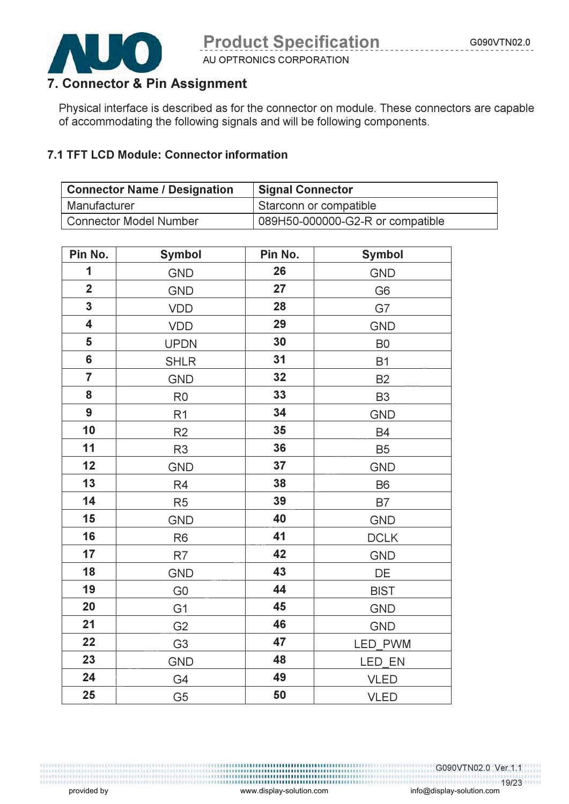

AU OPTRONICS CORPORATION

## 7. Connector & Pin Assignment

Physical interface is described as for the connector on module. These connectors are capable of accommodating the following signals and will be following components.

#### 7.1 TFT LCD Module: Connector information

| <b>Connector Name / Designation</b> | <b>Signal Connector</b>          |  |  |
|-------------------------------------|----------------------------------|--|--|
| Manufacturer                        | Starconn or compatible           |  |  |
| <b>Connector Model Number</b>       | 089H50-000000-G2-R or compatible |  |  |

| Pin No.                 | <b>Symbol</b>  | Pin No. | <b>Symbol</b>  |  |  |
|-------------------------|----------------|---------|----------------|--|--|
| 1                       | <b>GND</b>     | 26      | GND            |  |  |
| $\overline{2}$          | <b>GND</b>     | 27      | G <sub>6</sub> |  |  |
| $\mathbf{3}$            | VDD            | 28      | G7             |  |  |
| $\overline{\mathbf{4}}$ | VDD            | 29      | <b>GND</b>     |  |  |
| 5                       | <b>UPDN</b>    | 30      | B <sub>0</sub> |  |  |
| $6\phantom{a}$          | <b>SHLR</b>    | 31      | <b>B1</b>      |  |  |
| $\overline{7}$          | <b>GND</b>     | 32      | <b>B2</b>      |  |  |
| 8                       | R <sub>0</sub> | 33      | B <sub>3</sub> |  |  |
| $\boldsymbol{9}$        | R <sub>1</sub> | 34      | <b>GND</b>     |  |  |
| 10                      | R2             | 35      | <b>B4</b>      |  |  |
| 11                      | R <sub>3</sub> | 36      | <b>B5</b>      |  |  |
| 12                      | <b>GND</b>     | 37      | <b>GND</b>     |  |  |
| 13                      | R4             | 38      | <b>B6</b>      |  |  |
| 14                      | R <sub>5</sub> | 39      | B7             |  |  |
| 15                      | <b>GND</b>     | 40      | <b>GND</b>     |  |  |
| 16                      | R <sub>6</sub> | 41      | <b>DCLK</b>    |  |  |
| 17                      | R7             | 42      | <b>GND</b>     |  |  |
| 18                      | <b>GND</b>     | 43      | DE             |  |  |
| 19                      | G <sub>0</sub> | 44      | <b>BIST</b>    |  |  |
| 20                      | G <sub>1</sub> | 45      | <b>GND</b>     |  |  |
| 21                      | G <sub>2</sub> | 46      | GND            |  |  |
| 22                      | G <sub>3</sub> | 47      | LED PWM        |  |  |
| 23                      | <b>GND</b>     | 48      | LED EN         |  |  |
| 24                      | G4             | 49      | <b>VLED</b>    |  |  |
| 25                      | G <sub>5</sub> | 50      | <b>VLED</b>    |  |  |

G090VTN02.0 Ver.1.1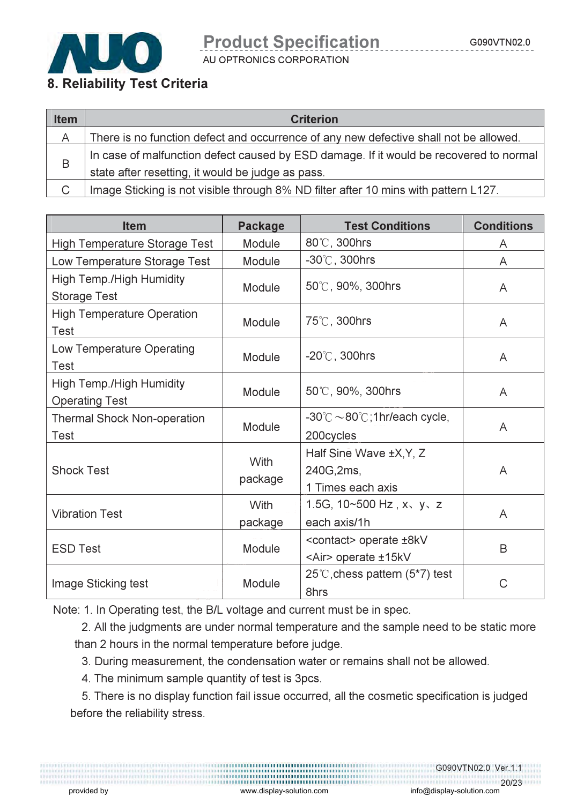

AU OPTRONICS CORPORATION

#### 8. Reliability Test Criteria

| <b>Item</b> | <b>Criterion</b>                                                                       |
|-------------|----------------------------------------------------------------------------------------|
| A           | There is no function defect and occurrence of any new defective shall not be allowed.  |
| B           | In case of malfunction defect caused by ESD damage. If it would be recovered to normal |
|             | state after resetting, it would be judge as pass.                                      |
|             | Image Sticking is not visible through 8% ND filter after 10 mins with pattern L127.    |

| <b>Item</b>                                       | <b>Package</b>  | <b>Test Conditions</b>                                               | <b>Conditions</b> |
|---------------------------------------------------|-----------------|----------------------------------------------------------------------|-------------------|
| <b>High Temperature Storage Test</b>              | Module          | 80°C, 300hrs                                                         | A                 |
| Low Temperature Storage Test                      | Module          | $-30^{\circ}$ C, 300hrs                                              | A                 |
| High Temp./High Humidity<br><b>Storage Test</b>   | Module          | 50°C, 90%, 300hrs                                                    | A                 |
| <b>High Temperature Operation</b><br>Test         | Module          | 75℃, 300hrs                                                          | A                 |
| Low Temperature Operating<br>Test                 | Module          | $-20^{\circ}$ C, 300hrs                                              | A                 |
| High Temp./High Humidity<br><b>Operating Test</b> | Module          | 50°C, 90%, 300hrs                                                    | A                 |
| <b>Thermal Shock Non-operation</b><br>Test        | Module          | $-30^{\circ}$ C $\sim$ 80 $^{\circ}$ C; 1hr/each cycle,<br>200cycles | A                 |
| <b>Shock Test</b>                                 | With<br>package | Half Sine Wave ±X, Y, Z<br>240G, 2ms,<br>1 Times each axis           | A                 |
| <b>Vibration Test</b>                             | With<br>package | 1.5G, $10 \times 500$ Hz, $x \times y \times z$<br>each axis/1h      | A                 |
| <b>ESD Test</b>                                   | Module          | <contact> operate ±8kV<br/><air> operate ±15kV</air></contact>       | B                 |
| Image Sticking test                               | Module          | 25°C, chess pattern $(5*7)$ test<br>8hrs                             | C                 |

Note: 1. In Operating test, the B/L voltage and current must be in spec.

2. All the judgments are under normal temperature and the sample need to be static more than 2 hours in the normal temperature before judge.

3. During measurement, the condensation water or remains shall not be allowed.

4. The minimum sample quantity of test is 3pcs.

5. There is no display function fail issue occurred, all the cosmetic specification is judged before the reliability stress.

G090VTN02.0 Ver.1.1

provided by  $\hspace{2cm}$  www.display-solution.com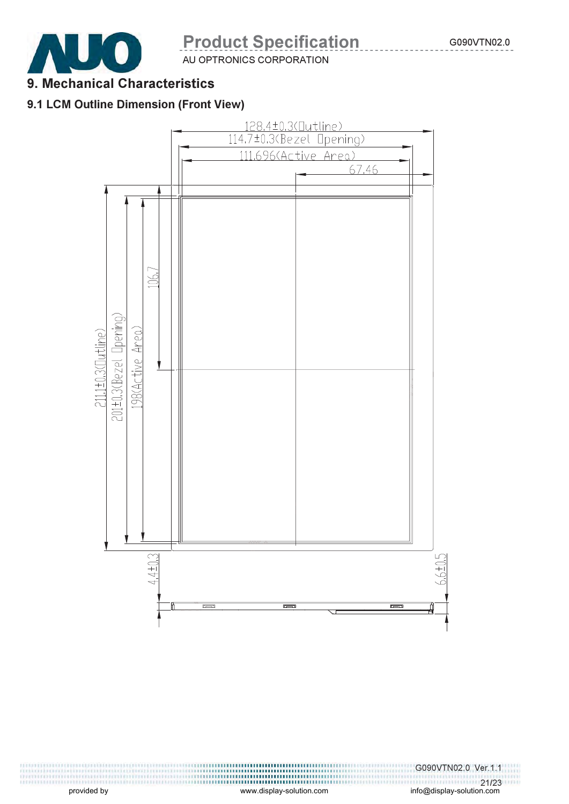

AU OPTRONICS CORPORATION

## 9. Mechanical Characteristics

#### 9.1 LCM Outline Dimension (Front View)

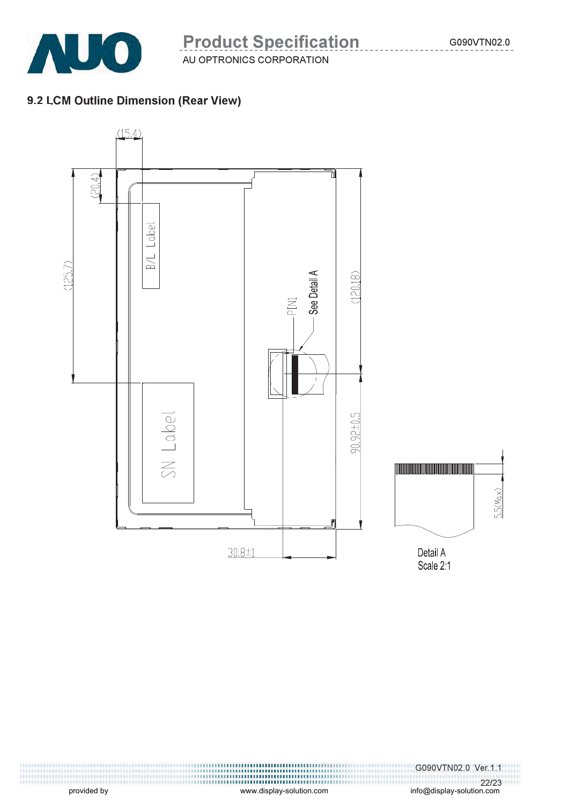

### 9.2 LCM Outline Dimension (Rear View)



G090VTN02.0 Ver.1.1